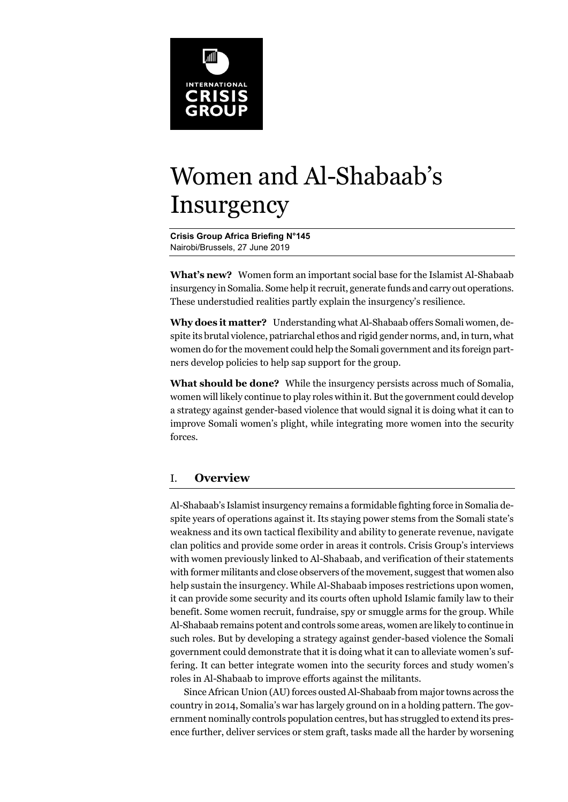

# Women and Al-Shabaab's Insurgency

**Crisis Group Africa Briefing N°145**  Nairobi/Brussels, 27 June 2019

**What's new?** Women form an important social base for the Islamist Al-Shabaab insurgency in Somalia. Some help it recruit, generate funds and carry out operations. These understudied realities partly explain the insurgency's resilience.

**Why does it matter?** Understanding what Al-Shabaab offers Somali women, despite its brutal violence, patriarchal ethos and rigid gender norms, and, in turn, what women do for the movement could help the Somali government and its foreign partners develop policies to help sap support for the group.

**What should be done?** While the insurgency persists across much of Somalia, women will likely continue to play roles within it. But the government could develop a strategy against gender-based violence that would signal it is doing what it can to improve Somali women's plight, while integrating more women into the security forces.

# I. **Overview**

Al-Shabaab's Islamist insurgency remains a formidable fighting force in Somalia despite years of operations against it. Its staying power stems from the Somali state's weakness and its own tactical flexibility and ability to generate revenue, navigate clan politics and provide some order in areas it controls. Crisis Group's interviews with women previously linked to Al-Shabaab, and verification of their statements with former militants and close observers of the movement, suggest that women also help sustain the insurgency. While Al-Shabaab imposes restrictions upon women, it can provide some security and its courts often uphold Islamic family law to their benefit. Some women recruit, fundraise, spy or smuggle arms for the group. While Al-Shabaab remains potent and controls some areas, women are likely to continue in such roles. But by developing a strategy against gender-based violence the Somali government could demonstrate that it is doing what it can to alleviate women's suffering. It can better integrate women into the security forces and study women's roles in Al-Shabaab to improve efforts against the militants.

Since African Union (AU) forces ousted Al-Shabaab from major towns across the country in 2014, Somalia's war has largely ground on in a holding pattern. The government nominally controls population centres, but has struggled to extend its presence further, deliver services or stem graft, tasks made all the harder by worsening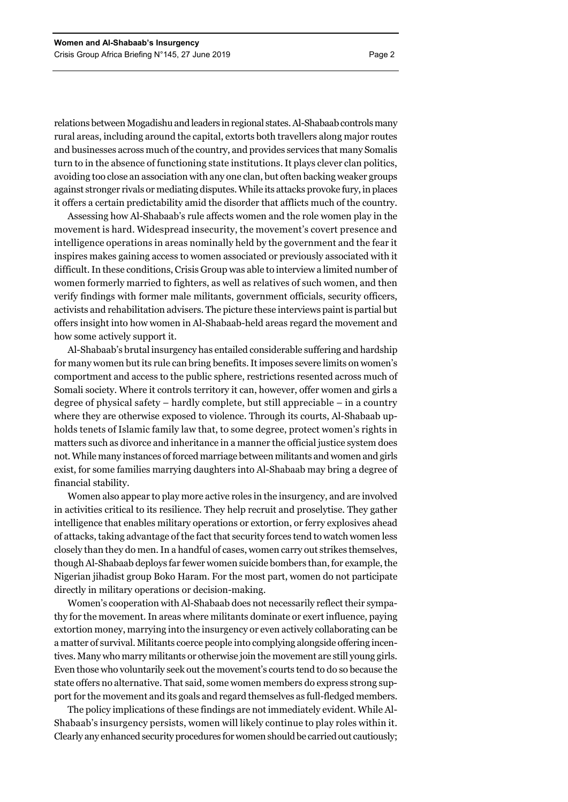relations between Mogadishu and leaders in regional states. Al-Shabaab controls many rural areas, including around the capital, extorts both travellers along major routes and businesses across much of the country, and provides services that many Somalis turn to in the absence of functioning state institutions. It plays clever clan politics, avoiding too close an association with any one clan, but often backing weaker groups against stronger rivals or mediating disputes. While its attacks provoke fury, in places it offers a certain predictability amid the disorder that afflicts much of the country.

Assessing how Al-Shabaab's rule affects women and the role women play in the movement is hard. Widespread insecurity, the movement's covert presence and intelligence operations in areas nominally held by the government and the fear it inspires makes gaining access to women associated or previously associated with it difficult. In these conditions, Crisis Group was able to interview a limited number of women formerly married to fighters, as well as relatives of such women, and then verify findings with former male militants, government officials, security officers, activists and rehabilitation advisers. The picture these interviews paint is partial but offers insight into how women in Al-Shabaab-held areas regard the movement and how some actively support it.

Al-Shabaab's brutal insurgency has entailed considerable suffering and hardship for many women but its rule can bring benefits. It imposes severe limits on women's comportment and access to the public sphere, restrictions resented across much of Somali society. Where it controls territory it can, however, offer women and girls a degree of physical safety – hardly complete, but still appreciable – in a country where they are otherwise exposed to violence. Through its courts, Al-Shabaab upholds tenets of Islamic family law that, to some degree, protect women's rights in matters such as divorce and inheritance in a manner the official justice system does not. While many instances of forced marriage between militants and women and girls exist, for some families marrying daughters into Al-Shabaab may bring a degree of financial stability.

Women also appear to play more active roles in the insurgency, and are involved in activities critical to its resilience. They help recruit and proselytise. They gather intelligence that enables military operations or extortion, or ferry explosives ahead of attacks, taking advantage of the fact that security forces tend to watch women less closely than they do men. In a handful of cases, women carry out strikes themselves, though Al-Shabaab deploys far fewer women suicide bombers than, for example, the Nigerian jihadist group Boko Haram. For the most part, women do not participate directly in military operations or decision-making.

Women's cooperation with Al-Shabaab does not necessarily reflect their sympathy for the movement. In areas where militants dominate or exert influence, paying extortion money, marrying into the insurgency or even actively collaborating can be a matter of survival. Militants coerce people into complying alongside offering incentives. Many who marry militants or otherwise join the movement are still young girls. Even those who voluntarily seek out the movement's courts tend to do so because the state offers no alternative. That said, some women members do express strong support for the movement and its goals and regard themselves as full-fledged members.

The policy implications of these findings are not immediately evident. While Al-Shabaab's insurgency persists, women will likely continue to play roles within it. Clearly any enhanced security procedures for women should be carried out cautiously;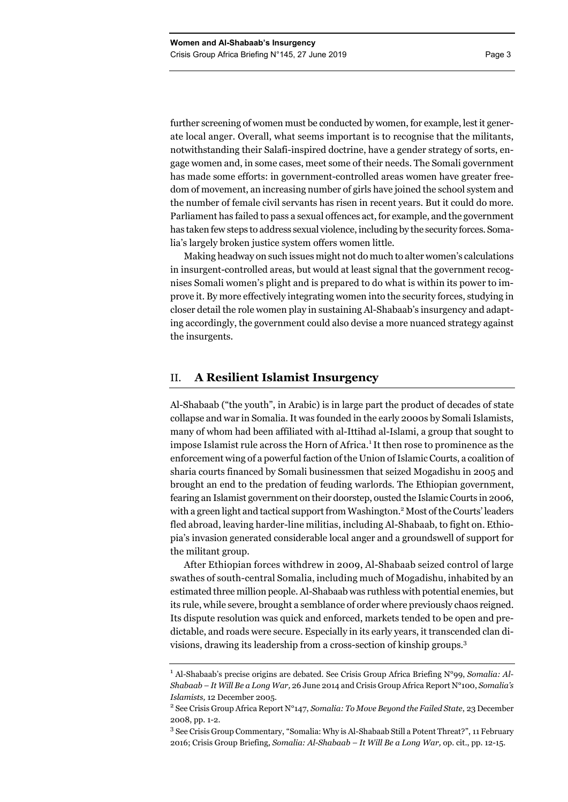further screening of women must be conducted by women, for example, lest it generate local anger. Overall, what seems important is to recognise that the militants, notwithstanding their Salafi-inspired doctrine, have a gender strategy of sorts, engage women and, in some cases, meet some of their needs. The Somali government has made some efforts: in government-controlled areas women have greater freedom of movement, an increasing number of girls have joined the school system and the number of female civil servants has risen in recent years. But it could do more. Parliament has failed to pass a sexual offences act, for example, and the government has taken few steps to address sexual violence, including by the security forces. Somalia's largely broken justice system offers women little.

Making headway on such issues might not do much to alter women's calculations in insurgent-controlled areas, but would at least signal that the government recognises Somali women's plight and is prepared to do what is within its power to improve it. By more effectively integrating women into the security forces, studying in closer detail the role women play in sustaining Al-Shabaab's insurgency and adapting accordingly, the government could also devise a more nuanced strategy against the insurgents.

#### II. **A Resilient Islamist Insurgency**

Al-Shabaab ("the youth", in Arabic) is in large part the product of decades of state collapse and war in Somalia. It was founded in the early 2000s by Somali Islamists, many of whom had been affiliated with al-Ittihad al-Islami, a group that sought to impose Islamist rule across the Horn of Africa.<sup>1</sup> It then rose to prominence as the enforcement wing of a powerful faction of the Union of Islamic Courts, a coalition of sharia courts financed by Somali businessmen that seized Mogadishu in 2005 and brought an end to the predation of feuding warlords. The Ethiopian government, fearing an Islamist government on their doorstep, ousted the Islamic Courts in 2006, with a green light and tactical support from Washington.<sup>2</sup> Most of the Courts' leaders fled abroad, leaving harder-line militias, including Al-Shabaab, to fight on. Ethiopia's invasion generated considerable local anger and a groundswell of support for the militant group.

After Ethiopian forces withdrew in 2009, Al-Shabaab seized control of large swathes of south-central Somalia, including much of Mogadishu, inhabited by an estimated three million people. Al-Shabaab was ruthless with potential enemies, but its rule, while severe, brought a semblance of order where previously chaos reigned. Its dispute resolution was quick and enforced, markets tended to be open and predictable, and roads were secure. Especially in its early years, it transcended clan divisions, drawing its leadership from a cross-section of kinship groups.<sup>3</sup>

<sup>&</sup>lt;sup>1</sup> Al-Shabaab's precise origins are debated. See Crisis Group Africa Briefing N°99, Somalia: Al-*Shabaab – It Will Be a Long War,* 26 June 2014 and Crisis Group Africa Report N°100, *Somalia's Islamists,* 12 December 2005. 2

See Crisis Group Africa Report N°147, *Somalia: To Move Beyond the Failed State*, 23 December 2008, pp. 1-2.

<sup>3</sup> See Crisis Group Commentary, "Somalia: Why is Al-Shabaab Still a Potent Threat?", 11 February 2016; Crisis Group Briefing, *Somalia: Al-Shabaab – It Will Be a Long War,* op. cit., pp. 12-15.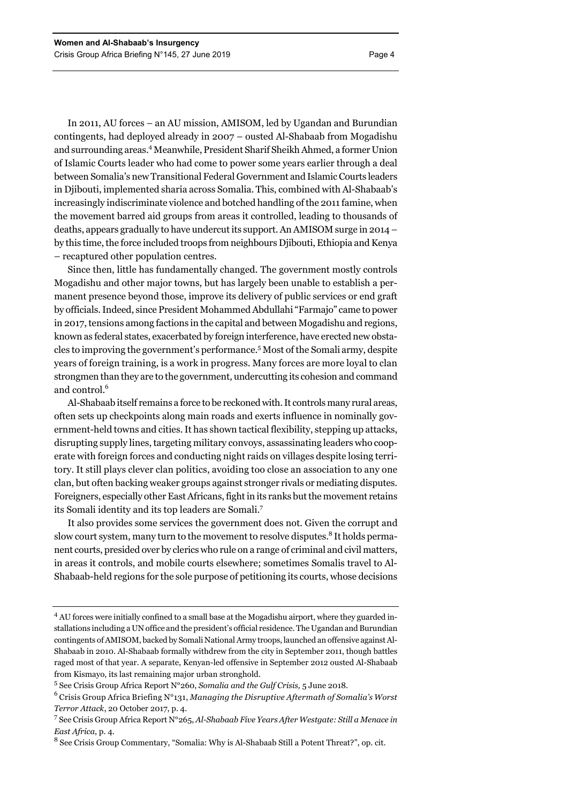In 2011, AU forces – an AU mission, AMISOM, led by Ugandan and Burundian contingents, had deployed already in 2007 – ousted Al-Shabaab from Mogadishu and surrounding areas.4 Meanwhile, President Sharif Sheikh Ahmed, a former Union of Islamic Courts leader who had come to power some years earlier through a deal between Somalia's new Transitional Federal Government and Islamic Courts leaders in Djibouti, implemented sharia across Somalia. This, combined with Al-Shabaab's increasingly indiscriminate violence and botched handling of the 2011 famine, when the movement barred aid groups from areas it controlled, leading to thousands of deaths, appears gradually to have undercut its support. An AMISOM surge in 2014 – by this time, the force included troops from neighbours Djibouti, Ethiopia and Kenya – recaptured other population centres.

Since then, little has fundamentally changed. The government mostly controls Mogadishu and other major towns, but has largely been unable to establish a permanent presence beyond those, improve its delivery of public services or end graft by officials. Indeed, since President Mohammed Abdullahi "Farmajo" came to power in 2017, tensions among factions in the capital and between Mogadishu and regions, known as federal states, exacerbated by foreign interference, have erected new obstacles to improving the government's performance.5 Most of the Somali army, despite years of foreign training, is a work in progress. Many forces are more loyal to clan strongmen than they are to the government, undercutting its cohesion and command and control.<sup>6</sup>

Al-Shabaab itself remains a force to be reckoned with. It controls many rural areas, often sets up checkpoints along main roads and exerts influence in nominally government-held towns and cities. It has shown tactical flexibility, stepping up attacks, disrupting supply lines, targeting military convoys, assassinating leaders who cooperate with foreign forces and conducting night raids on villages despite losing territory. It still plays clever clan politics, avoiding too close an association to any one clan, but often backing weaker groups against stronger rivals or mediating disputes. Foreigners, especially other East Africans, fight in its ranks but the movement retains its Somali identity and its top leaders are Somali.<sup>7</sup>

It also provides some services the government does not. Given the corrupt and slow court system, many turn to the movement to resolve disputes.<sup>8</sup> It holds permanent courts, presided over by clerics who rule on a range of criminal and civil matters, in areas it controls, and mobile courts elsewhere; sometimes Somalis travel to Al-Shabaab-held regions for the sole purpose of petitioning its courts, whose decisions

<sup>&</sup>lt;sup>4</sup> AU forces were initially confined to a small base at the Mogadishu airport, where they guarded installations including a UN office and the president's official residence. The Ugandan and Burundian contingents of AMISOM, backed by Somali National Army troops, launched an offensive against Al-Shabaab in 2010. Al-Shabaab formally withdrew from the city in September 2011, though battles raged most of that year. A separate, Kenyan-led offensive in September 2012 ousted Al-Shabaab from Kismayo, its last remaining major urban stronghold.

<sup>5</sup> See Crisis Group Africa Report N°260, *Somalia and the Gulf Crisis,* 5 June 2018.

<sup>6</sup> Crisis Group Africa Briefing N°131, *Managing the Disruptive Aftermath of Somalia's Worst Terror Attack*, 20 October 2017, p. 4.

<sup>7</sup> See Crisis Group Africa Report N°265, *Al-Shabaab Five Years After Westgate: Still a Menace in East Africa*, p. 4.

<sup>&</sup>lt;sup>8</sup> See Crisis Group Commentary, "Somalia: Why is Al-Shabaab Still a Potent Threat?", op. cit.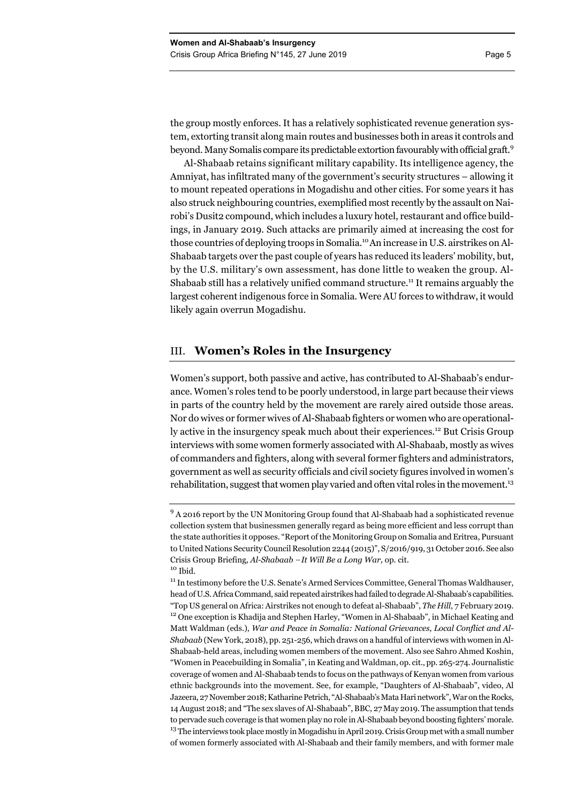the group mostly enforces. It has a relatively sophisticated revenue generation system, extorting transit along main routes and businesses both in areas it controls and beyond. Many Somalis compare its predictable extortion favourably with official graft.<sup>9</sup>

Al-Shabaab retains significant military capability. Its intelligence agency, the Amniyat, has infiltrated many of the government's security structures – allowing it to mount repeated operations in Mogadishu and other cities. For some years it has also struck neighbouring countries, exemplified most recently by the assault on Nairobi's Dusit2 compound, which includes a luxury hotel, restaurant and office buildings, in January 2019. Such attacks are primarily aimed at increasing the cost for those countries of deploying troops in Somalia.10 An increase in U.S. airstrikes on Al-Shabaab targets over the past couple of years has reduced its leaders' mobility, but, by the U.S. military's own assessment, has done little to weaken the group. Al-Shabaab still has a relatively unified command structure.<sup>11</sup> It remains arguably the largest coherent indigenous force in Somalia. Were AU forces to withdraw, it would likely again overrun Mogadishu.

# III. **Women's Roles in the Insurgency**

Women's support, both passive and active, has contributed to Al-Shabaab's endurance. Women's roles tend to be poorly understood, in large part because their views in parts of the country held by the movement are rarely aired outside those areas. Nor do wives or former wives of Al-Shabaab fighters or women who are operationally active in the insurgency speak much about their experiences.12 But Crisis Group interviews with some women formerly associated with Al-Shabaab, mostly as wives of commanders and fighters, along with several former fighters and administrators, government as well as security officials and civil society figures involved in women's rehabilitation, suggest that women play varied and often vital roles in the movement.<sup>13</sup>

<sup>&</sup>lt;sup>9</sup> A 2016 report by the UN Monitoring Group found that Al-Shabaab had a sophisticated revenue collection system that businessmen generally regard as being more efficient and less corrupt than the state authorities it opposes. "Report of the Monitoring Group on Somalia and Eritrea, Pursuant to United Nations Security Council Resolution 2244 (2015)", S/2016/919, 31 October 2016. See also Crisis Group Briefing, *Al-Shabaab* – *It Will Be a Long War,* op. cit. 10 Ibid.

<sup>&</sup>lt;sup>11</sup> In testimony before the U.S. Senate's Armed Services Committee, General Thomas Waldhauser, head of U.S. Africa Command, said repeated airstrikes had failed to degrade Al-Shabaab's capabilities. "Top US general on Africa: Airstrikes not enough to defeat al-Shabaab", *The Hill*, 7 February 2019.<br><sup>12</sup> One exception is Khadija and Stephen Harley, "Women in Al-Shabaab", in Michael Keating and Matt Waldman (eds.), *War and Peace in Somalia: National Grievances, Local Conflict and Al-Shabaab* (New York, 2018), pp. 251-256, which draws on a handful of interviews with women in Al-Shabaab-held areas, including women members of the movement. Also see Sahro Ahmed Koshin, "Women in Peacebuilding in Somalia", in Keating and Waldman, op. cit., pp. 265-274. Journalistic coverage of women and Al-Shabaab tends to focus on the pathways of Kenyan women from various ethnic backgrounds into the movement. See, for example, "Daughters of Al-Shabaab", video, Al Jazeera, 27 November 2018; Katharine Petrich, "Al-Shabaab's Mata Hari network", War on the Rocks, 14 August 2018; and "The sex slaves of Al-Shabaab", BBC, 27 May 2019. The assumption that tends to pervade such coverage is that women play no role in Al-Shabaab beyond boosting fighters' morale. <sup>13</sup> The interviews took place mostly in Mogadishu in April 2019. Crisis Group met with a small number of women formerly associated with Al-Shabaab and their family members, and with former male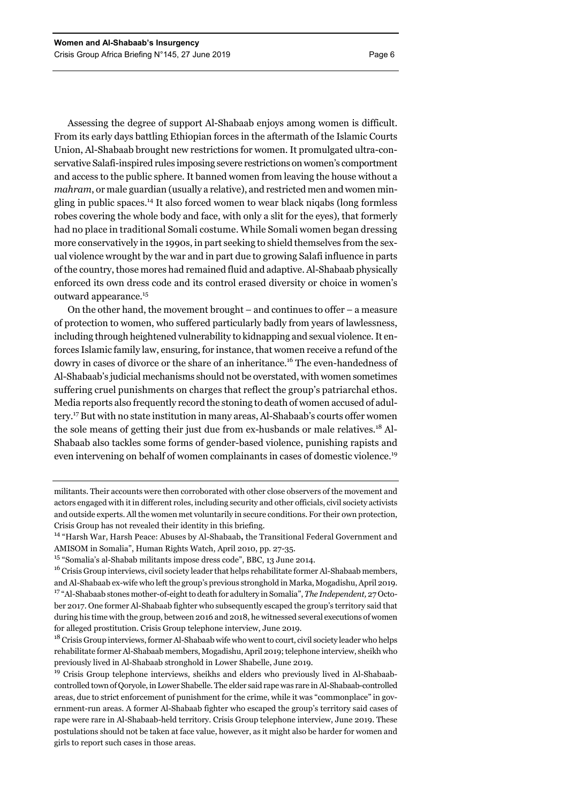Assessing the degree of support Al-Shabaab enjoys among women is difficult. From its early days battling Ethiopian forces in the aftermath of the Islamic Courts Union, Al-Shabaab brought new restrictions for women. It promulgated ultra-conservative Salafi-inspired rules imposing severe restrictions on women's comportment and access to the public sphere. It banned women from leaving the house without a *mahram*, or male guardian (usually a relative), and restricted men and women mingling in public spaces.14 It also forced women to wear black niqabs (long formless robes covering the whole body and face, with only a slit for the eyes), that formerly had no place in traditional Somali costume. While Somali women began dressing more conservatively in the 1990s, in part seeking to shield themselves from the sexual violence wrought by the war and in part due to growing Salafi influence in parts of the country, those mores had remained fluid and adaptive. Al-Shabaab physically enforced its own dress code and its control erased diversity or choice in women's outward appearance.15

On the other hand, the movement brought – and continues to offer – a measure of protection to women, who suffered particularly badly from years of lawlessness, including through heightened vulnerability to kidnapping and sexual violence. It enforces Islamic family law, ensuring, for instance, that women receive a refund of the dowry in cases of divorce or the share of an inheritance.16 The even-handedness of Al-Shabaab's judicial mechanisms should not be overstated, with women sometimes suffering cruel punishments on charges that reflect the group's patriarchal ethos. Media reports also frequently record the stoning to death of women accused of adultery.17 But with no state institution in many areas, Al-Shabaab's courts offer women the sole means of getting their just due from ex-husbands or male relatives.18 Al-Shabaab also tackles some forms of gender-based violence, punishing rapists and even intervening on behalf of women complainants in cases of domestic violence.<sup>19</sup>

militants. Their accounts were then corroborated with other close observers of the movement and actors engaged with it in different roles, including security and other officials, civil society activists and outside experts. All the women met voluntarily in secure conditions. For their own protection, Crisis Group has not revealed their identity in this briefing.

14 "Harsh War, Harsh Peace: Abuses by Al-Shabaab**,** the Transitional Federal Government and AMISOM in Somalia", Human Rights Watch, April 2010, pp. 27-35.

<sup>15</sup> "Somalia's al-Shabab militants impose dress code", BBC, 13 June 2014.

<sup>16</sup> Crisis Group interviews, civil society leader that helps rehabilitate former Al-Shabaab members, and Al-Shabaab ex-wife who left the group's previous stronghold in Marka, Mogadishu, April 2019. 17 "Al-Shabaab stones mother-of-eight to death for adultery in Somalia", *The Independent,* 27 October 2017. One former Al-Shabaab fighter who subsequently escaped the group's territory said that during his time with the group, between 2016 and 2018, he witnessed several executions of women for alleged prostitution. Crisis Group telephone interview, June 2019.

<sup>18</sup> Crisis Group interviews, former Al-Shabaab wife who went to court, civil society leader who helps rehabilitate former Al-Shabaab members, Mogadishu, April 2019; telephone interview, sheikh who previously lived in Al-Shabaab stronghold in Lower Shabelle, June 2019.

<sup>19</sup> Crisis Group telephone interviews, sheikhs and elders who previously lived in Al-Shabaabcontrolled town of Qoryole, in Lower Shabelle. The elder said rape was rare in Al-Shabaab-controlled areas, due to strict enforcement of punishment for the crime, while it was "commonplace" in government-run areas. A former Al-Shabaab fighter who escaped the group's territory said cases of rape were rare in Al-Shabaab-held territory. Crisis Group telephone interview, June 2019. These postulations should not be taken at face value, however, as it might also be harder for women and girls to report such cases in those areas.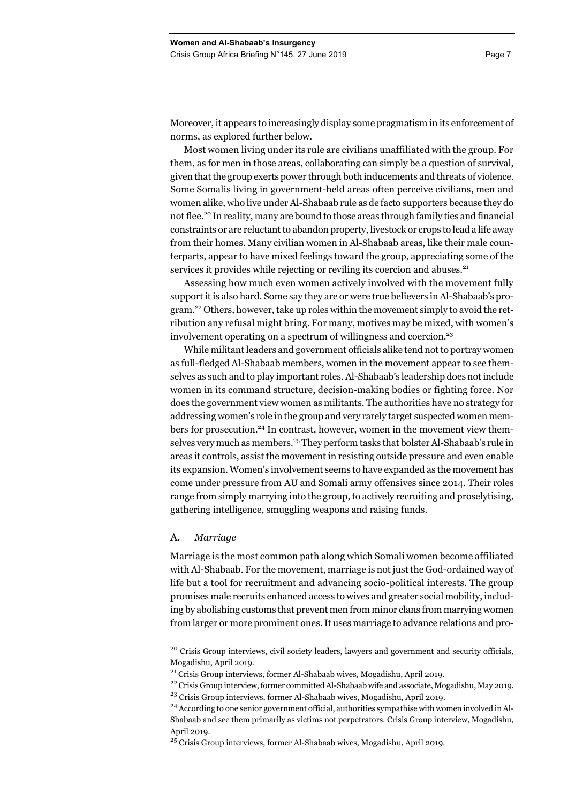Moreover, it appears to increasingly display some pragmatism in its enforcement of norms, as explored further below.

Most women living under its rule are civilians unaffiliated with the group. For them, as for men in those areas, collaborating can simply be a question of survival, given that the group exerts power through both inducements and threats of violence. Some Somalis living in government-held areas often perceive civilians, men and women alike, who live under Al-Shabaab rule as de facto supporters because they do not flee.<sup>20</sup> In reality, many are bound to those areas through family ties and financial constraints or are reluctant to abandon property, livestock or crops to lead a life away from their homes. Many civilian women in Al-Shabaab areas, like their male counterparts, appear to have mixed feelings toward the group, appreciating some of the services it provides while rejecting or reviling its coercion and abuses.<sup>21</sup>

Assessing how much even women actively involved with the movement fully support it is also hard. Some say they are or were true believers in Al-Shabaab's program.<sup>22</sup> Others, however, take up roles within the movement simply to avoid the retribution any refusal might bring. For many, motives may be mixed, with women's involvement operating on a spectrum of willingness and coercion.<sup>23</sup>

While militant leaders and government officials alike tend not to portray women as full-fledged Al-Shabaab members, women in the movement appear to see themselves as such and to play important roles. Al-Shabaab's leadership does not include women in its command structure, decision-making bodies or fighting force. Nor does the government view women as militants. The authorities have no strategy for addressing women's role in the group and very rarely target suspected women members for prosecution.24 In contrast, however, women in the movement view themselves very much as members.<sup>25</sup> They perform tasks that bolster Al-Shabaab's rule in areas it controls, assist the movement in resisting outside pressure and even enable its expansion. Women's involvement seems to have expanded as the movement has come under pressure from AU and Somali army offensives since 2014. Their roles range from simply marrying into the group, to actively recruiting and proselytising, gathering intelligence, smuggling weapons and raising funds.

#### A. *Marriage*

Marriage is the most common path along which Somali women become affiliated with Al-Shabaab. For the movement, marriage is not just the God-ordained way of life but a tool for recruitment and advancing socio-political interests. The group promises male recruits enhanced access to wives and greater social mobility, including by abolishing customs that prevent men from minor clans from marrying women from larger or more prominent ones. It uses marriage to advance relations and pro-

<sup>&</sup>lt;sup>20</sup> Crisis Group interviews, civil society leaders, lawyers and government and security officials, Mogadishu, April 2019.

<sup>&</sup>lt;sup>21</sup> Crisis Group interviews, former Al-Shabaab wives, Mogadishu, April 2019.<br><sup>22</sup> Crisis Group interview, former committed Al-Shabaab wife and associate, Mogadishu, May 2019. <sup>23</sup> Crisis Group interviews, former Al-Shabaab wives, Mogadishu, April 2019.

<sup>24</sup> According to one senior government official, authorities sympathise with women involved in Al-Shabaab and see them primarily as victims not perpetrators. Crisis Group interview, Mogadishu, April 2019.

<sup>&</sup>lt;sup>25</sup> Crisis Group interviews, former Al-Shabaab wives, Mogadishu, April 2019.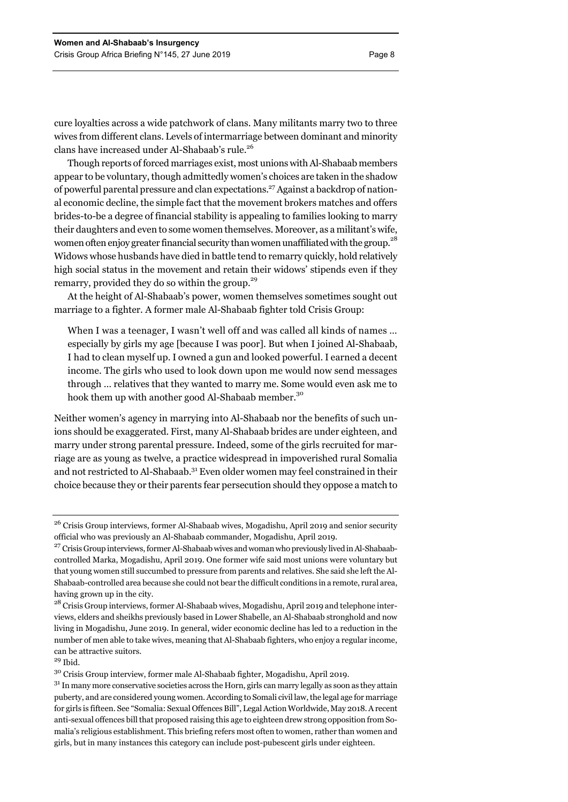cure loyalties across a wide patchwork of clans. Many militants marry two to three wives from different clans. Levels of intermarriage between dominant and minority clans have increased under Al-Shabaab's rule.26

Though reports of forced marriages exist, most unions with Al-Shabaab members appear to be voluntary, though admittedly women's choices are taken in the shadow of powerful parental pressure and clan expectations.27 Against a backdrop of national economic decline, the simple fact that the movement brokers matches and offers brides-to-be a degree of financial stability is appealing to families looking to marry their daughters and even to some women themselves. Moreover, as a militant's wife, women often enjoy greater financial security than women unaffiliated with the group.<sup>28</sup> Widows whose husbands have died in battle tend to remarry quickly, hold relatively high social status in the movement and retain their widows' stipends even if they remarry, provided they do so within the group.<sup>29</sup>

At the height of Al-Shabaab's power, women themselves sometimes sought out marriage to a fighter. A former male Al-Shabaab fighter told Crisis Group:

When I was a teenager, I wasn't well off and was called all kinds of names ... especially by girls my age [because I was poor]. But when I joined Al-Shabaab, I had to clean myself up. I owned a gun and looked powerful. I earned a decent income. The girls who used to look down upon me would now send messages through … relatives that they wanted to marry me. Some would even ask me to hook them up with another good Al-Shabaab member.<sup>30</sup>

Neither women's agency in marrying into Al-Shabaab nor the benefits of such unions should be exaggerated. First, many Al-Shabaab brides are under eighteen, and marry under strong parental pressure. Indeed, some of the girls recruited for marriage are as young as twelve, a practice widespread in impoverished rural Somalia and not restricted to Al-Shabaab.31 Even older women may feel constrained in their choice because they or their parents fear persecution should they oppose a match to

 $29$  Ibid.

<sup>&</sup>lt;sup>26</sup> Crisis Group interviews, former Al-Shabaab wives, Mogadishu, April 2019 and senior security official who was previously an Al-Shabaab commander, Mogadishu, April 2019.

<sup>&</sup>lt;sup>27</sup> Crisis Group interviews, former Al-Shabaab wives and woman who previously lived in Al-Shabaabcontrolled Marka, Mogadishu, April 2019. One former wife said most unions were voluntary but that young women still succumbed to pressure from parents and relatives. She said she left the Al-Shabaab-controlled area because she could not bear the difficult conditions in a remote, rural area, having grown up in the city.

<sup>&</sup>lt;sup>28</sup> Crisis Group interviews, former Al-Shabaab wives, Mogadishu, April 2019 and telephone interviews, elders and sheikhs previously based in Lower Shabelle, an Al-Shabaab stronghold and now living in Mogadishu, June 2019. In general, wider economic decline has led to a reduction in the number of men able to take wives, meaning that Al-Shabaab fighters, who enjoy a regular income, can be attractive suitors.

<sup>30</sup> Crisis Group interview, former male Al-Shabaab fighter, Mogadishu, April 2019.

 $31$  In many more conservative societies across the Horn, girls can marry legally as soon as they attain puberty, and are considered young women. According to Somali civil law, the legal age for marriage for girls is fifteen. See "Somalia: Sexual Offences Bill", Legal Action Worldwide, May 2018. A recent anti-sexual offences bill that proposed raising this age to eighteen drew strong opposition from Somalia's religious establishment. This briefing refers most often to women, rather than women and girls, but in many instances this category can include post-pubescent girls under eighteen.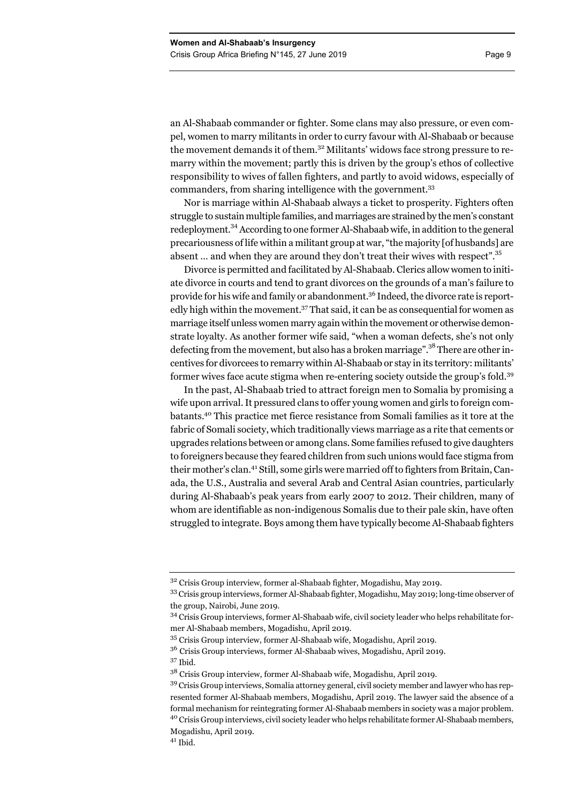an Al-Shabaab commander or fighter. Some clans may also pressure, or even compel, women to marry militants in order to curry favour with Al-Shabaab or because the movement demands it of them.<sup>32</sup> Militants' widows face strong pressure to remarry within the movement; partly this is driven by the group's ethos of collective responsibility to wives of fallen fighters, and partly to avoid widows, especially of commanders, from sharing intelligence with the government.33

Nor is marriage within Al-Shabaab always a ticket to prosperity. Fighters often struggle to sustain multiple families, and marriages are strained by the men's constant redeployment.<sup>34</sup> According to one former Al-Shabaab wife, in addition to the general precariousness of life within a militant group at war, "the majority [of husbands] are absent ... and when they are around they don't treat their wives with respect".<sup>35</sup>

Divorce is permitted and facilitated by Al-Shabaab. Clerics allow women to initiate divorce in courts and tend to grant divorces on the grounds of a man's failure to provide for his wife and family or abandonment.<sup>36</sup> Indeed, the divorce rate is reportedly high within the movement.<sup>37</sup> That said, it can be as consequential for women as marriage itself unless women marry again within the movement or otherwise demonstrate loyalty. As another former wife said, "when a woman defects, she's not only defecting from the movement, but also has a broken marriage".<sup>38</sup> There are other incentives for divorcees to remarry within Al-Shabaab or stay in its territory: militants' former wives face acute stigma when re-entering society outside the group's fold.39

In the past, Al-Shabaab tried to attract foreign men to Somalia by promising a wife upon arrival. It pressured clans to offer young women and girls to foreign combatants.40 This practice met fierce resistance from Somali families as it tore at the fabric of Somali society, which traditionally views marriage as a rite that cements or upgrades relations between or among clans. Some families refused to give daughters to foreigners because they feared children from such unions would face stigma from their mother's clan.41 Still, some girls were married off to fighters from Britain, Canada, the U.S., Australia and several Arab and Central Asian countries, particularly during Al-Shabaab's peak years from early 2007 to 2012. Their children, many of whom are identifiable as non-indigenous Somalis due to their pale skin, have often struggled to integrate. Boys among them have typically become Al-Shabaab fighters

 $3<sup>32</sup>$  Crisis Group interview, former al-Shabaab fighter, Mogadishu, May 2019.

<sup>33</sup> Crisis group interviews, former Al-Shabaab fighter, Mogadishu, May 2019; long-time observer of the group, Nairobi, June 2019.

<sup>34</sup> Crisis Group interviews, former Al-Shabaab wife, civil society leader who helps rehabilitate former Al-Shabaab members, Mogadishu, April 2019.

<sup>35</sup> Crisis Group interview, former Al-Shabaab wife, Mogadishu, April 2019.

<sup>36</sup> Crisis Group interviews, former Al-Shabaab wives, Mogadishu, April 2019.

<sup>37</sup> Ibid.

<sup>38</sup> Crisis Group interview, former Al-Shabaab wife, Mogadishu, April 2019.

<sup>&</sup>lt;sup>39</sup> Crisis Group interviews, Somalia attorney general, civil society member and lawyer who has represented former Al-Shabaab members, Mogadishu, April 2019. The lawyer said the absence of a formal mechanism for reintegrating former Al-Shabaab members in society was a major problem. <sup>40</sup> Crisis Group interviews, civil society leader who helps rehabilitate former Al-Shabaab members, Mogadishu, April 2019.

 $41$  Ibid.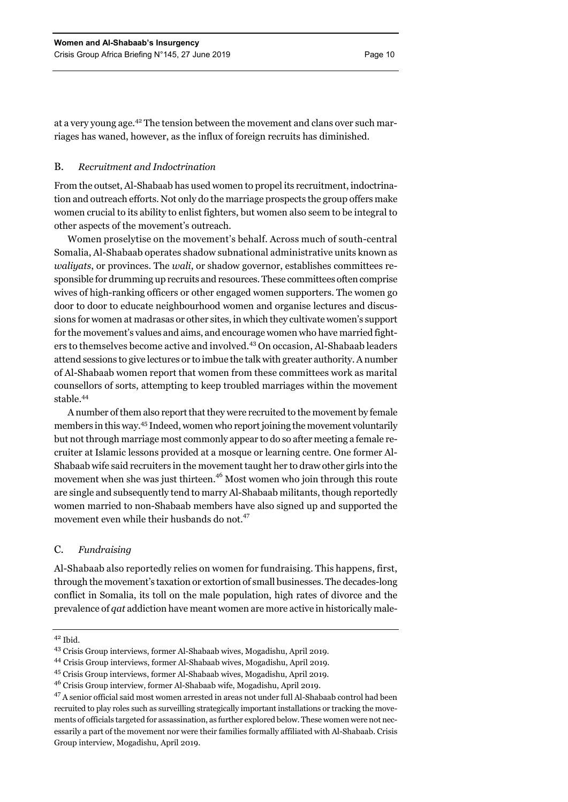at a very young age.42 The tension between the movement and clans over such marriages has waned, however, as the influx of foreign recruits has diminished.

#### B. *Recruitment and Indoctrination*

From the outset, Al-Shabaab has used women to propel its recruitment, indoctrination and outreach efforts. Not only do the marriage prospects the group offers make women crucial to its ability to enlist fighters, but women also seem to be integral to other aspects of the movement's outreach.

Women proselytise on the movement's behalf. Across much of south-central Somalia, Al-Shabaab operates shadow subnational administrative units known as *waliyats*, or provinces. The *wali*, or shadow governor, establishes committees responsible for drumming up recruits and resources. These committees often comprise wives of high-ranking officers or other engaged women supporters. The women go door to door to educate neighbourhood women and organise lectures and discussions for women at madrasas or other sites, in which they cultivate women's support for the movement's values and aims, and encourage women who have married fighters to themselves become active and involved.43 On occasion, Al-Shabaab leaders attend sessions to give lectures or to imbue the talk with greater authority. A number of Al-Shabaab women report that women from these committees work as marital counsellors of sorts, attempting to keep troubled marriages within the movement stable.44

A number of them also report that they were recruited to the movement by female members in this way.45 Indeed, women who report joining the movement voluntarily but not through marriage most commonly appear to do so after meeting a female recruiter at Islamic lessons provided at a mosque or learning centre. One former Al-Shabaab wife said recruiters in the movement taught her to draw other girls into the movement when she was just thirteen.<sup>46</sup> Most women who join through this route are single and subsequently tend to marry Al-Shabaab militants, though reportedly women married to non-Shabaab members have also signed up and supported the movement even while their husbands do not.<sup>47</sup>

#### C. *Fundraising*

Al-Shabaab also reportedly relies on women for fundraising. This happens, first, through the movement's taxation or extortion of small businesses. The decades-long conflict in Somalia, its toll on the male population, high rates of divorce and the prevalence of *qat* addiction have meant women are more active in historically male-

 $42$  Ibid.

<sup>43</sup> Crisis Group interviews, former Al-Shabaab wives, Mogadishu, April 2019.

<sup>44</sup> Crisis Group interviews, former Al-Shabaab wives, Mogadishu, April 2019.

<sup>45</sup> Crisis Group interviews, former Al-Shabaab wives, Mogadishu, April 2019.

<sup>46</sup> Crisis Group interview, former Al-Shabaab wife, Mogadishu, April 2019.

<sup>47</sup> A senior official said most women arrested in areas not under full Al-Shabaab control had been recruited to play roles such as surveilling strategically important installations or tracking the movements of officials targeted for assassination, as further explored below. These women were not necessarily a part of the movement nor were their families formally affiliated with Al-Shabaab. Crisis Group interview, Mogadishu, April 2019.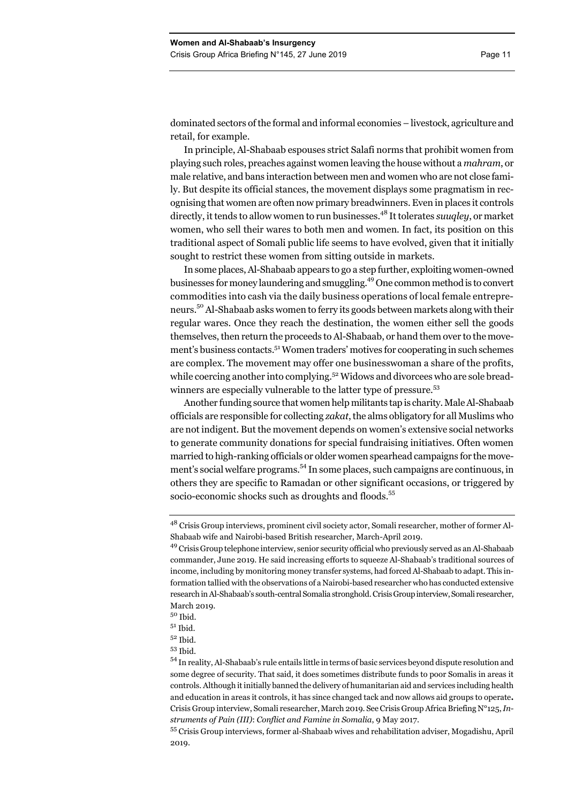dominated sectors of the formal and informal economies – livestock, agriculture and retail, for example.

In principle, Al-Shabaab espouses strict Salafi norms that prohibit women from playing such roles, preaches against women leaving the house without a *mahram*, or male relative, and bans interaction between men and women who are not close family. But despite its official stances, the movement displays some pragmatism in recognising that women are often now primary breadwinners. Even in places it controls directly, it tends to allow women to run businesses.48 It tolerates *suuqley*, or market women, who sell their wares to both men and women. In fact, its position on this traditional aspect of Somali public life seems to have evolved, given that it initially sought to restrict these women from sitting outside in markets.

In some places, Al-Shabaab appears to go a step further, exploiting women-owned businesses for money laundering and smuggling.<sup>49</sup> One common method is to convert commodities into cash via the daily business operations of local female entrepreneurs.<sup>50</sup> Al-Shabaab asks women to ferry its goods between markets along with their regular wares. Once they reach the destination, the women either sell the goods themselves, then return the proceeds to Al-Shabaab, or hand them over to the movement's business contacts.51 Women traders' motives for cooperating in such schemes are complex. The movement may offer one businesswoman a share of the profits, while coercing another into complying.<sup>52</sup> Widows and divorcees who are sole breadwinners are especially vulnerable to the latter type of pressure.<sup>53</sup>

Another funding source that women help militants tap is charity. Male Al-Shabaab officials are responsible for collecting *zakat*, the alms obligatory for all Muslims who are not indigent. But the movement depends on women's extensive social networks to generate community donations for special fundraising initiatives. Often women married to high-ranking officials or older women spearhead campaigns for the movement's social welfare programs.<sup>54</sup> In some places, such campaigns are continuous, in others they are specific to Ramadan or other significant occasions, or triggered by socio-economic shocks such as droughts and floods.<sup>55</sup>

<sup>48</sup> Crisis Group interviews, prominent civil society actor, Somali researcher, mother of former Al-Shabaab wife and Nairobi-based British researcher, March-April 2019.

<sup>49</sup> Crisis Group telephone interview, senior security official who previously served as an Al-Shabaab commander, June 2019. He said increasing efforts to squeeze Al-Shabaab's traditional sources of income, including by monitoring money transfer systems, had forced Al-Shabaab to adapt. This information tallied with the observations of a Nairobi-based researcher who has conducted extensive research in Al-Shabaab's south-central Somalia stronghold. Crisis Group interview, Somali researcher, March 2019.

<sup>50</sup> Ibid.

 $5<sup>1</sup>$  Ibid.

<sup>52</sup> Ibid.

<sup>53</sup> Ibid.

<sup>54</sup> In reality, Al-Shabaab's rule entails little in terms of basic services beyond dispute resolution and some degree of security. That said, it does sometimes distribute funds to poor Somalis in areas it controls. Although it initially banned the delivery of humanitarian aid and services including health and education in areas it controls, it has since changed tack and now allows aid groups to operate**.**  Crisis Group interview, Somali researcher, March 2019. See Crisis Group Africa Briefing N°125, *Instruments of Pain (III)*: *Conflict and Famine in Somalia*, 9 May 2017.

<sup>55</sup> Crisis Group interviews, former al-Shabaab wives and rehabilitation adviser, Mogadishu, April 2019.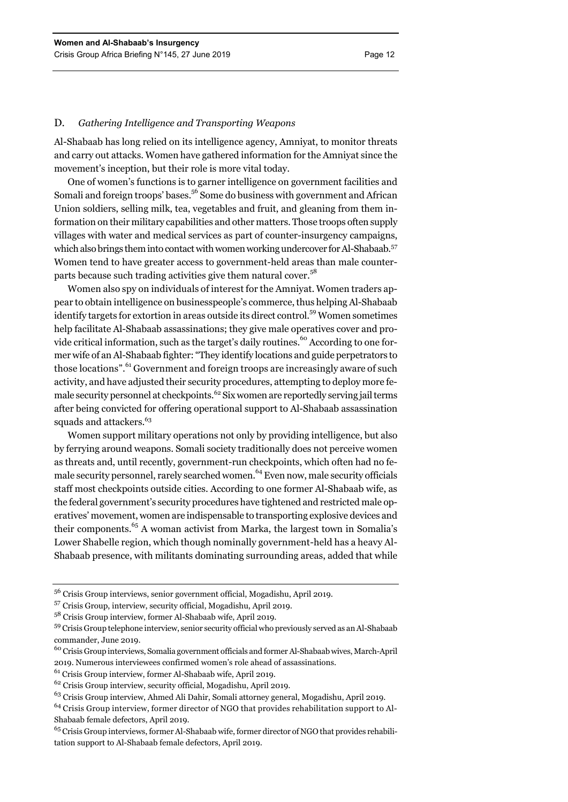#### D. *Gathering Intelligence and Transporting Weapons*

Al-Shabaab has long relied on its intelligence agency, Amniyat, to monitor threats and carry out attacks. Women have gathered information for the Amniyat since the movement's inception, but their role is more vital today.

One of women's functions is to garner intelligence on government facilities and Somali and foreign troops' bases.<sup>56</sup> Some do business with government and African Union soldiers, selling milk, tea, vegetables and fruit, and gleaning from them information on their military capabilities and other matters. Those troops often supply villages with water and medical services as part of counter-insurgency campaigns, which also brings them into contact with women working undercover for Al-Shabaab.<sup>57</sup> Women tend to have greater access to government-held areas than male counterparts because such trading activities give them natural cover.<sup>58</sup>

Women also spy on individuals of interest for the Amniyat. Women traders appear to obtain intelligence on businesspeople's commerce, thus helping Al-Shabaab identify targets for extortion in areas outside its direct control.<sup>59</sup> Women sometimes help facilitate Al-Shabaab assassinations; they give male operatives cover and provide critical information, such as the target's daily routines.<sup>60</sup> According to one former wife of an Al-Shabaab fighter: "They identify locations and guide perpetrators to those locations".<sup>61</sup> Government and foreign troops are increasingly aware of such activity, and have adjusted their security procedures, attempting to deploy more female security personnel at checkpoints.<sup>62</sup> Six women are reportedly serving jail terms after being convicted for offering operational support to Al-Shabaab assassination squads and attackers.<sup>63</sup>

Women support military operations not only by providing intelligence, but also by ferrying around weapons. Somali society traditionally does not perceive women as threats and, until recently, government-run checkpoints, which often had no female security personnel, rarely searched women.<sup>64</sup> Even now, male security officials staff most checkpoints outside cities. According to one former Al-Shabaab wife, as the federal government's security procedures have tightened and restricted male operatives' movement, women are indispensable to transporting explosive devices and their components.65 A woman activist from Marka, the largest town in Somalia's Lower Shabelle region, which though nominally government-held has a heavy Al-Shabaab presence, with militants dominating surrounding areas, added that while

- 60 Crisis Group interviews, Somalia government officials and former Al-Shabaab wives, March-April 2019. Numerous interviewees confirmed women's role ahead of assassinations.
- 61 Crisis Group interview, former Al-Shabaab wife, April 2019.

<sup>56</sup> Crisis Group interviews, senior government official, Mogadishu, April 2019.

<sup>57</sup> Crisis Group, interview, security official, Mogadishu, April 2019.

<sup>58</sup> Crisis Group interview, former Al-Shabaab wife, April 2019.

<sup>&</sup>lt;sup>59</sup> Crisis Group telephone interview, senior security official who previously served as an Al-Shabaab commander, June 2019.

<sup>62</sup> Crisis Group interview, security official, Mogadishu, April 2019.

<sup>&</sup>lt;sup>63</sup> Crisis Group interview, Ahmed Ali Dahir, Somali attorney general, Mogadishu, April 2019.

<sup>&</sup>lt;sup>64</sup> Crisis Group interview, former director of NGO that provides rehabilitation support to Al-Shabaab female defectors, April 2019.

<sup>&</sup>lt;sup>65</sup> Crisis Group interviews, former Al-Shabaab wife, former director of NGO that provides rehabilitation support to Al-Shabaab female defectors, April 2019.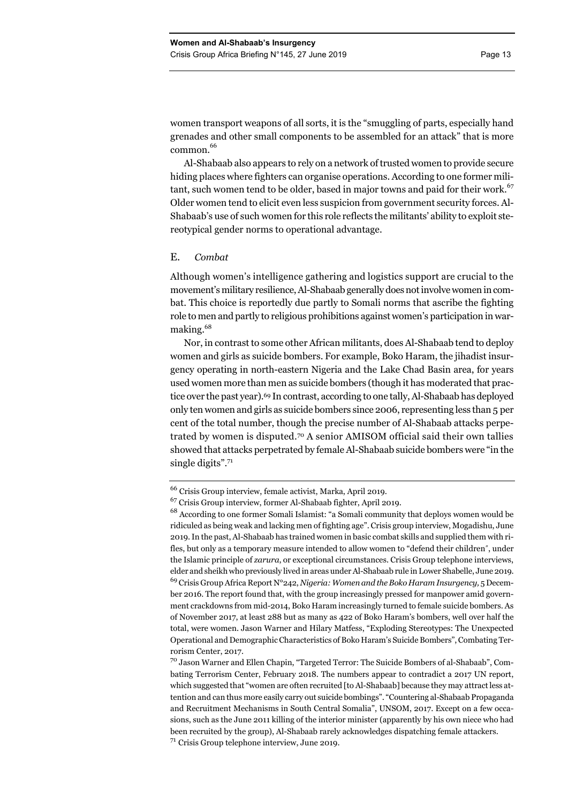women transport weapons of all sorts, it is the "smuggling of parts, especially hand grenades and other small components to be assembled for an attack" that is more common. 66

Al-Shabaab also appears to rely on a network of trusted women to provide secure hiding places where fighters can organise operations. According to one former militant, such women tend to be older, based in major towns and paid for their work.<sup> $\degree$ 7</sup> Older women tend to elicit even less suspicion from government security forces. Al-Shabaab's use of such women for this role reflects the militants' ability to exploit stereotypical gender norms to operational advantage.

#### E. *Combat*

Although women's intelligence gathering and logistics support are crucial to the movement's military resilience, Al-Shabaab generally does not involve women in combat. This choice is reportedly due partly to Somali norms that ascribe the fighting role to men and partly to religious prohibitions against women's participation in warmaking.68

Nor, in contrast to some other African militants, does Al-Shabaab tend to deploy women and girls as suicide bombers. For example, Boko Haram, the jihadist insurgency operating in north-eastern Nigeria and the Lake Chad Basin area, for years used women more than men as suicide bombers (though it has moderated that practice over the past year).<sup>69</sup> In contrast, according to one tally, Al-Shabaab has deployed only ten women and girls as suicide bombers since 2006, representing less than 5 per cent of the total number, though the precise number of Al-Shabaab attacks perpetrated by women is disputed.70 A senior AMISOM official said their own tallies showed that attacks perpetrated by female Al-Shabaab suicide bombers were "in the single digits".<sup>71</sup>

<sup>66</sup> Crisis Group interview, female activist, Marka, April 2019.

<sup>67</sup> Crisis Group interview, former Al-Shabaab fighter, April 2019.

<sup>&</sup>lt;sup>68</sup> According to one former Somali Islamist: "a Somali community that deploys women would be ridiculed as being weak and lacking men of fighting age". Crisis group interview, Mogadishu, June 2019. In the past, Al-Shabaab has trained women in basic combat skills and supplied them with rifles, but only as a temporary measure intended to allow women to "defend their children", under the Islamic principle of *zarura*, or exceptional circumstances. Crisis Group telephone interviews, elder and sheikh who previously lived in areas under Al-Shabaab rule in Lower Shabelle, June 2019. 69 Crisis Group Africa Report N°242, *Nigeria: Women and the Boko Haram Insurgency,* 5 December 2016. The report found that, with the group increasingly pressed for manpower amid government crackdowns from mid-2014, Boko Haram increasingly turned to female suicide bombers. As of November 2017, at least 288 but as many as 422 of Boko Haram's bombers, well over half the total, were women. Jason Warner and Hilary Matfess, "Exploding Stereotypes: The Unexpected Operational and Demographic Characteristics of Boko Haram's Suicide Bombers", Combating Terrorism Center, 2017.

<sup>70</sup> Jason Warner and Ellen Chapin, "Targeted Terror: The Suicide Bombers of al-Shabaab", Combating Terrorism Center, February 2018. The numbers appear to contradict a 2017 UN report, which suggested that "women are often recruited [to Al-Shabaab] because they may attract less attention and can thus more easily carry out suicide bombings". "Countering al-Shabaab Propaganda and Recruitment Mechanisms in South Central Somalia", UNSOM, 2017. Except on a few occasions, such as the June 2011 killing of the interior minister (apparently by his own niece who had been recruited by the group), Al-Shabaab rarely acknowledges dispatching female attackers. <sup>71</sup> Crisis Group telephone interview, June 2019.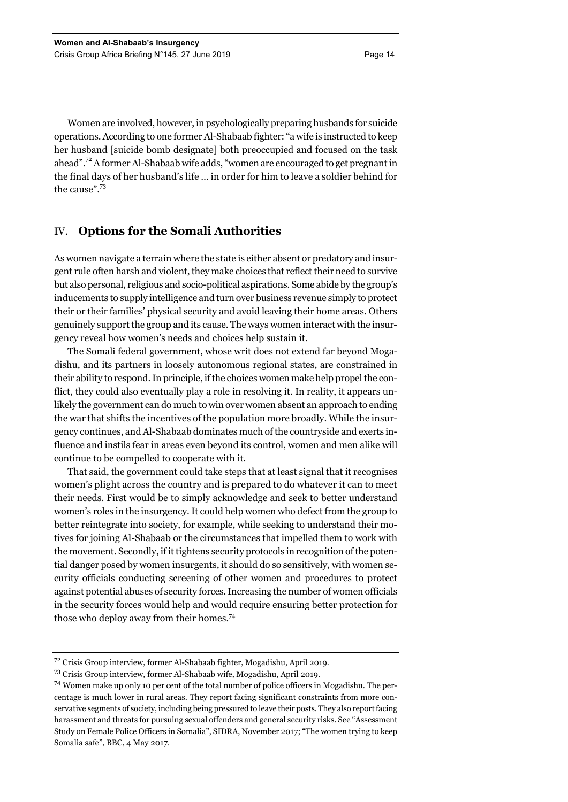Women are involved, however, in psychologically preparing husbands for suicide operations. According to one former Al-Shabaab fighter: "a wife is instructed to keep her husband [suicide bomb designate] both preoccupied and focused on the task ahead".72 A former Al-Shabaab wife adds, "women are encouraged to get pregnant in the final days of her husband's life … in order for him to leave a soldier behind for the cause".<sup>73</sup>

## IV. **Options for the Somali Authorities**

As women navigate a terrain where the state is either absent or predatory and insurgent rule often harsh and violent, they make choices that reflect their need to survive but also personal, religious and socio-political aspirations. Some abide by the group's inducements to supply intelligence and turn over business revenue simply to protect their or their families' physical security and avoid leaving their home areas. Others genuinely support the group and its cause. The ways women interact with the insurgency reveal how women's needs and choices help sustain it.

The Somali federal government, whose writ does not extend far beyond Mogadishu, and its partners in loosely autonomous regional states, are constrained in their ability to respond. In principle, if the choices women make help propel the conflict, they could also eventually play a role in resolving it. In reality, it appears unlikely the government can do much to win over women absent an approach to ending the war that shifts the incentives of the population more broadly. While the insurgency continues, and Al-Shabaab dominates much of the countryside and exerts influence and instils fear in areas even beyond its control, women and men alike will continue to be compelled to cooperate with it.

That said, the government could take steps that at least signal that it recognises women's plight across the country and is prepared to do whatever it can to meet their needs. First would be to simply acknowledge and seek to better understand women's roles in the insurgency. It could help women who defect from the group to better reintegrate into society, for example, while seeking to understand their motives for joining Al-Shabaab or the circumstances that impelled them to work with the movement. Secondly, if it tightens security protocols in recognition of the potential danger posed by women insurgents, it should do so sensitively, with women security officials conducting screening of other women and procedures to protect against potential abuses of security forces. Increasing the number of women officials in the security forces would help and would require ensuring better protection for those who deploy away from their homes.<sup>74</sup>

<sup>72</sup> Crisis Group interview, former Al-Shabaab fighter, Mogadishu, April 2019.

<sup>73</sup> Crisis Group interview, former Al-Shabaab wife, Mogadishu, April 2019.

<sup>74</sup> Women make up only 10 per cent of the total number of police officers in Mogadishu. The percentage is much lower in rural areas. They report facing significant constraints from more conservative segments of society, including being pressured to leave their posts. They also report facing harassment and threats for pursuing sexual offenders and general security risks. See "Assessment Study on Female Police Officers in Somalia", SIDRA, November 2017; "The women trying to keep Somalia safe", BBC, 4 May 2017.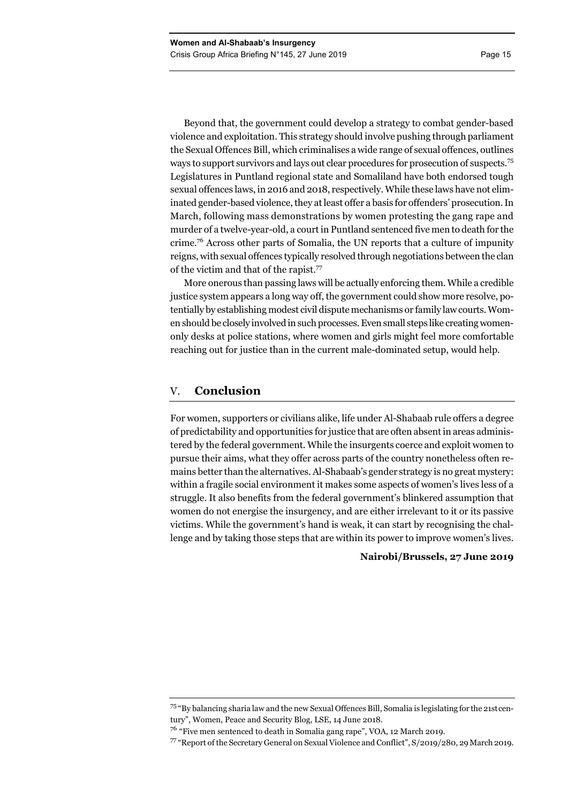Beyond that, the government could develop a strategy to combat gender-based violence and exploitation. This strategy should involve pushing through parliament the Sexual Offences Bill, which criminalises a wide range of sexual offences, outlines ways to support survivors and lays out clear procedures for prosecution of suspects.<sup>75</sup> Legislatures in Puntland regional state and Somaliland have both endorsed tough sexual offences laws, in 2016 and 2018, respectively. While these laws have not eliminated gender-based violence, they at least offer a basis for offenders' prosecution. In March, following mass demonstrations by women protesting the gang rape and murder of a twelve-year-old, a court in Puntland sentenced five men to death for the crime.<sup>76</sup> Across other parts of Somalia, the UN reports that a culture of impunity reigns, with sexual offences typically resolved through negotiations between the clan of the victim and that of the rapist.77

More onerous than passing laws will be actually enforcing them. While a credible justice system appears a long way off, the government could show more resolve, potentially by establishing modest civil dispute mechanisms or family law courts. Women should be closely involved in such processes. Even small steps like creating womenonly desks at police stations, where women and girls might feel more comfortable reaching out for justice than in the current male-dominated setup, would help.

# V. **Conclusion**

For women, supporters or civilians alike, life under Al-Shabaab rule offers a degree of predictability and opportunities for justice that are often absent in areas administered by the federal government. While the insurgents coerce and exploit women to pursue their aims, what they offer across parts of the country nonetheless often remains better than the alternatives. Al-Shabaab's gender strategy is no great mystery: within a fragile social environment it makes some aspects of women's lives less of a struggle. It also benefits from the federal government's blinkered assumption that women do not energise the insurgency, and are either irrelevant to it or its passive victims. While the government's hand is weak, it can start by recognising the challenge and by taking those steps that are within its power to improve women's lives.

#### **Nairobi/Brussels, 27 June 2019**

<sup>75 &</sup>quot;By balancing sharia law and the new Sexual Offences Bill, Somalia is legislating for the 21stcentury", Women, Peace and Security Blog, LSE, 14 June 2018.

<sup>76</sup> "Five men sentenced to death in Somalia gang rape", VOA, 12 March 2019.

<sup>77 &</sup>quot;Report of the Secretary General on Sexual Violence and Conflict", S/2019/280, 29 March 2019.